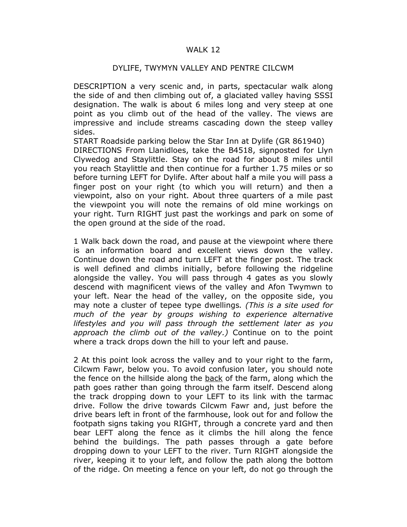## WALK 12

## DYLIFE, TWYMYN VALLEY AND PENTRE CILCWM

DESCRIPTION a very scenic and, in parts, spectacular walk along the side of and then climbing out of, a glaciated valley having SSSI designation. The walk is about 6 miles long and very steep at one point as you climb out of the head of the valley. The views are impressive and include streams cascading down the steep valley sides.

START Roadside parking below the Star Inn at Dylife (GR 861940) DIRECTIONS From Llanidloes, take the B4518, signposted for Llyn Clywedog and Staylittle. Stay on the road for about 8 miles until you reach Staylittle and then continue for a further 1.75 miles or so before turning LEFT for Dylife. After about half a mile you will pass a finger post on your right (to which you will return) and then a viewpoint, also on your right. About three quarters of a mile past the viewpoint you will note the remains of old mine workings on your right. Turn RIGHT just past the workings and park on some of the open ground at the side of the road.

1 Walk back down the road, and pause at the viewpoint where there is an information board and excellent views down the valley. Continue down the road and turn LEFT at the finger post. The track is well defined and climbs initially, before following the ridgeline alongside the valley. You will pass through 4 gates as you slowly descend with magnificent views of the valley and Afon Twymwn to your left. Near the head of the valley, on the opposite side, you may note a cluster of tepee type dwellings. (This is a site used for much of the year by groups wishing to experience alternative lifestyles and you will pass through the settlement later as you approach the climb out of the valley.) Continue on to the point where a track drops down the hill to your left and pause.

2 At this point look across the valley and to your right to the farm, Cilcwm Fawr, below you. To avoid confusion later, you should note the fence on the hillside along the back of the farm, along which the path goes rather than going through the farm itself. Descend along the track dropping down to your LEFT to its link with the tarmac drive. Follow the drive towards Cilcwm Fawr and, just before the drive bears left in front of the farmhouse, look out for and follow the footpath signs taking you RIGHT, through a concrete yard and then bear LEFT along the fence as it climbs the hill along the fence behind the buildings. The path passes through a gate before dropping down to your LEFT to the river. Turn RIGHT alongside the river, keeping it to your left, and follow the path along the bottom of the ridge. On meeting a fence on your left, do not go through the